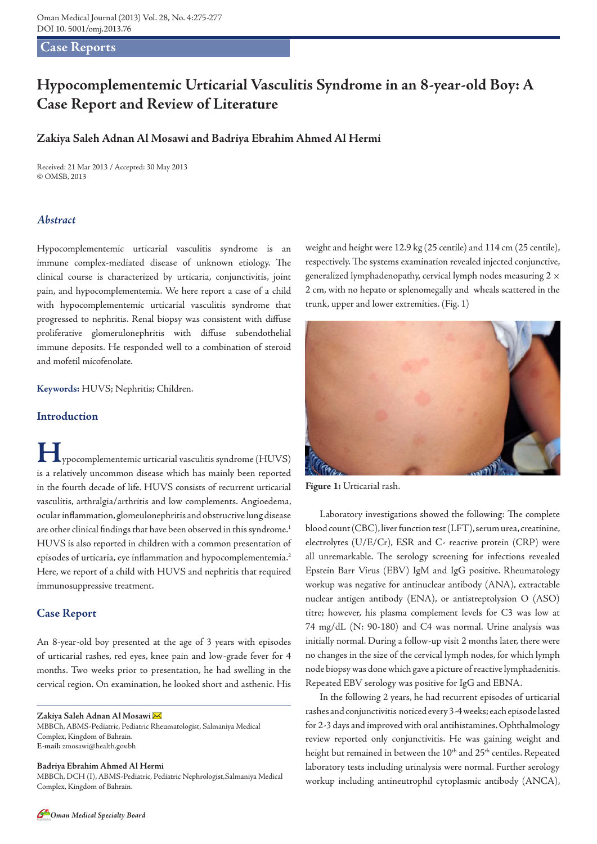#### **Case Reports**

# **Hypocomplementemic Urticarial Vasculitis Syndrome in an 8-year-old Boy: A Case Report and Review of Literature**

# **Zakiya Saleh Adnan Al Mosawi and Badriya Ebrahim Ahmed Al Hermi**

Received: 21 Mar 2013 / Accepted: 30 May 2013 © OMSB, 2013

#### *Abstract*

Hypocomplementemic urticarial vasculitis syndrome is an immune complex-mediated disease of unknown etiology. The clinical course is characterized by urticaria, conjunctivitis, joint pain, and hypocomplementemia. We here report a case of a child with hypocomplementemic urticarial vasculitis syndrome that progressed to nephritis. Renal biopsy was consistent with diffuse proliferative glomerulonephritis with diffuse subendothelial immune deposits. He responded well to a combination of steroid and mofetil micofenolate.

**Keywords:** HUVS; Nephritis; Children.

#### **Introduction**

**H**ypocomplementemic urticarial vasculitis syndrome (HUVS) is a relatively uncommon disease which has mainly been reported in the fourth decade of life. HUVS consists of recurrent urticarial vasculitis, arthralgia/arthritis and low complements. Angioedema, ocular inflammation, glomeulonephritis and obstructive lung disease are other clinical findings that have been observed in this syndrome.<sup>1</sup> HUVS is also reported in children with a common presentation of episodes of urticaria, eye inflammation and hypocomplementemia.<sup>2</sup> Here, we report of a child with HUVS and nephritis that required immunosuppressive treatment.

#### **Case Report**

An 8-year-old boy presented at the age of 3 years with episodes of urticarial rashes, red eyes, knee pain and low-grade fever for 4 months. Two weeks prior to presentation, he had swelling in the cervical region. On examination, he looked short and asthenic. His

**Zakiya Saleh Adnan Al Mosawi** 

MBBCh, ABMS-Pediatric, Pediatric Rheumatologist, Salmaniya Medical Complex, Kingdom of Bahrain. **E-mail:** zmosawi@health.gov.bh

**Badriya Ebrahim Ahmed Al Hermi**

MBBCh, DCH (I), ABMS-Pediatric, Pediatric Nephrologist,Salmaniya Medical Complex, Kingdom of Bahrain.

weight and height were 12.9 kg (25 centile) and 114 cm (25 centile), respectively. The systems examination revealed injected conjunctive, generalized lymphadenopathy, cervical lymph nodes measuring  $2 \times$ 2 cm, with no hepato or splenomegally and wheals scattered in the trunk, upper and lower extremities. (Fig. 1)



**Figure 1:** Urticarial rash.

Laboratory investigations showed the following: The complete blood count (CBC), liver function test (LFT), serum urea, creatinine, electrolytes (U/E/Cr), ESR and C- reactive protein (CRP) were all unremarkable. The serology screening for infections revealed Epstein Barr Virus (EBV) IgM and IgG positive. Rheumatology workup was negative for antinuclear antibody (ANA), extractable nuclear antigen antibody (ENA), or antistreptolysion O (ASO) titre; however, his plasma complement levels for C3 was low at 74 mg/dL (N: 90-180) and C4 was normal. Urine analysis was initially normal. During a follow-up visit 2 months later, there were no changes in the size of the cervical lymph nodes, for which lymph node biopsy was done which gave a picture of reactive lymphadenitis. Repeated EBV serology was positive for IgG and EBNA.

In the following 2 years, he had recurrent episodes of urticarial rashes and conjunctivitis noticed every 3-4 weeks; each episode lasted for 2-3 days and improved with oral antihistamines. Ophthalmology review reported only conjunctivitis. He was gaining weight and height but remained in between the 10<sup>th</sup> and 25<sup>th</sup> centiles. Repeated laboratory tests including urinalysis were normal. Further serology workup including antineutrophil cytoplasmic antibody (ANCA),

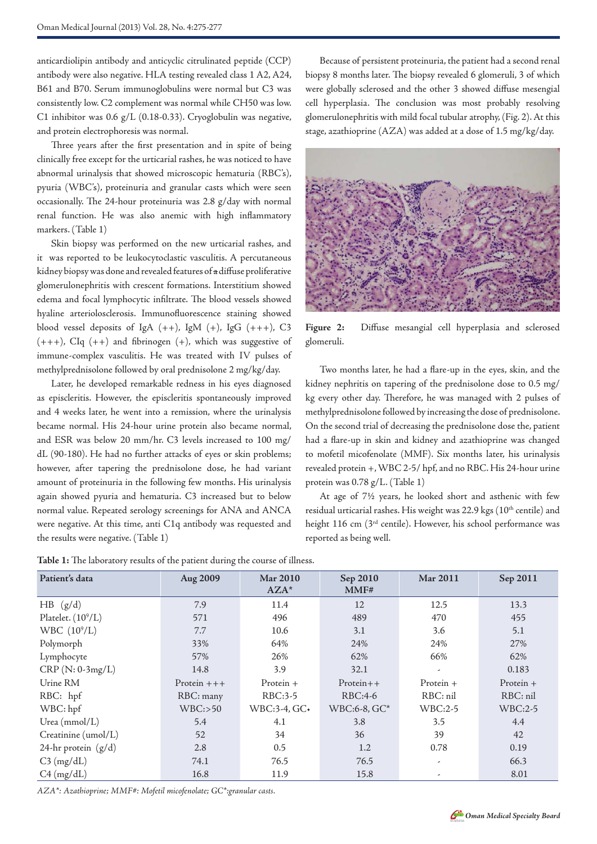anticardiolipin antibody and anticyclic citrulinated peptide (CCP) antibody were also negative. HLA testing revealed class 1 A2, A24, B61 and B70. Serum immunoglobulins were normal but C3 was consistently low. C2 complement was normal while CH50 was low. C1 inhibitor was 0.6 g/L (0.18-0.33). Cryoglobulin was negative, and protein electrophoresis was normal.

Three years after the first presentation and in spite of being clinically free except for the urticarial rashes, he was noticed to have abnormal urinalysis that showed microscopic hematuria (RBC's), pyuria (WBC's), proteinuria and granular casts which were seen occasionally. The 24-hour proteinuria was 2.8 g/day with normal renal function. He was also anemic with high inflammatory markers. (Table 1)

Skin biopsy was performed on the new urticarial rashes, and it was reported to be leukocytoclastic vasculitis. A percutaneous kidney biopsy was done and revealed features of a diffuse proliferative glomerulonephritis with crescent formations. Interstitium showed edema and focal lymphocytic infiltrate. The blood vessels showed hyaline arteriolosclerosis. Immunofluorescence staining showed blood vessel deposits of IgA  $(++)$ , IgM  $(+)$ , IgG  $(+++)$ , C3  $(+++)$ , CIq  $(+)$  and fibrinogen  $(+)$ , which was suggestive of immune-complex vasculitis. He was treated with IV pulses of methylprednisolone followed by oral prednisolone 2 mg/kg/day.

Later, he developed remarkable redness in his eyes diagnosed as episcleritis. However, the episcleritis spontaneously improved and 4 weeks later, he went into a remission, where the urinalysis became normal. His 24-hour urine protein also became normal, and ESR was below 20 mm/hr. C3 levels increased to 100 mg/ dL (90-180). He had no further attacks of eyes or skin problems; however, after tapering the prednisolone dose, he had variant amount of proteinuria in the following few months. His urinalysis again showed pyuria and hematuria. C3 increased but to below normal value. Repeated serology screenings for ANA and ANCA were negative. At this time, anti C1q antibody was requested and the results were negative. (Table 1)

Because of persistent proteinuria, the patient had a second renal biopsy 8 months later. The biopsy revealed 6 glomeruli, 3 of which were globally sclerosed and the other 3 showed diffuse mesengial cell hyperplasia. The conclusion was most probably resolving glomerulonephritis with mild focal tubular atrophy, (Fig. 2). At this stage, azathioprine (AZA) was added at a dose of 1.5 mg/kg/day.



**Figure 2:** Diffuse mesangial cell hyperplasia and sclerosed glomeruli.

Two months later, he had a flare-up in the eyes, skin, and the kidney nephritis on tapering of the prednisolone dose to 0.5 mg/ kg every other day. Therefore, he was managed with 2 pulses of methylprednisolone followed by increasing the dose of prednisolone. On the second trial of decreasing the prednisolone dose the, patient had a flare-up in skin and kidney and azathioprine was changed to mofetil micofenolate (MMF). Six months later, his urinalysis revealed protein +, WBC 2-5/ hpf, and no RBC. His 24-hour urine protein was 0.78 g/L. (Table 1)

At age of 7½ years, he looked short and asthenic with few residual urticarial rashes. His weight was 22.9 kgs (10<sup>th</sup> centile) and height 116 cm (3<sup>rd</sup> centile). However, his school performance was reported as being well.

| Patient's data        | Aug 2009     | Mar 2010<br>$AZA*$ | Sep 2010<br>MMF#  | Mar 2011                 | Sep 2011    |
|-----------------------|--------------|--------------------|-------------------|--------------------------|-------------|
| HB (g/d)              | 7.9          | 11.4               | 12                | 12.5                     | 13.3        |
| Platelet. $(10^9/L)$  | 571          | 496                | 489               | 470                      | 455         |
| WBC $(10^9/L)$        | 7.7          | 10.6               | 3.1               | 3.6                      | 5.1         |
| Polymorph             | 33%          | 64%                | 24%               | 24%                      | 27%         |
| Lymphocyte            | 57%          | 26%                | 62%               | 66%                      | 62%         |
| $CRP(N: 0-3mg/L)$     | 14.8         | 3.9                | 32.1              | $\overline{\phantom{a}}$ | 0.183       |
| Urine RM              | Protein $++$ | Protein $+$        | $Protein++$       | Protein $+$              | Protein $+$ |
| RBC: hpf              | RBC: many    | RBC:3-5            | RBC:4-6           | RBC: nil                 | RBC: nil    |
| WBC: hpf              | WBC: >50     | $WBC:3-4$ , $GC+$  | $WBC:6-8$ , $GC*$ | WBC:2-5                  | WBC:2-5     |
| Urea (mmol/L)         | 5.4          | 4.1                | 3.8               | 3.5                      | 4.4         |
| Creatinine (umol/L)   | 52           | 34                 | 36                | 39                       | 42          |
| 24-hr protein $(g/d)$ | 2.8          | 0.5                | 1.2               | 0.78                     | 0.19        |
| $C3$ (mg/dL)          | 74.1         | 76.5               | 76.5              | $\overline{\phantom{a}}$ | 66.3        |
| $C4$ (mg/dL)          | 16.8         | 11.9               | 15.8              |                          | 8.01        |

**Table 1:** The laboratory results of the patient during the course of illness.

*AZA\*: Azathioprine; MMF#: Mofetil micofenolate; GC\*:granular casts.*